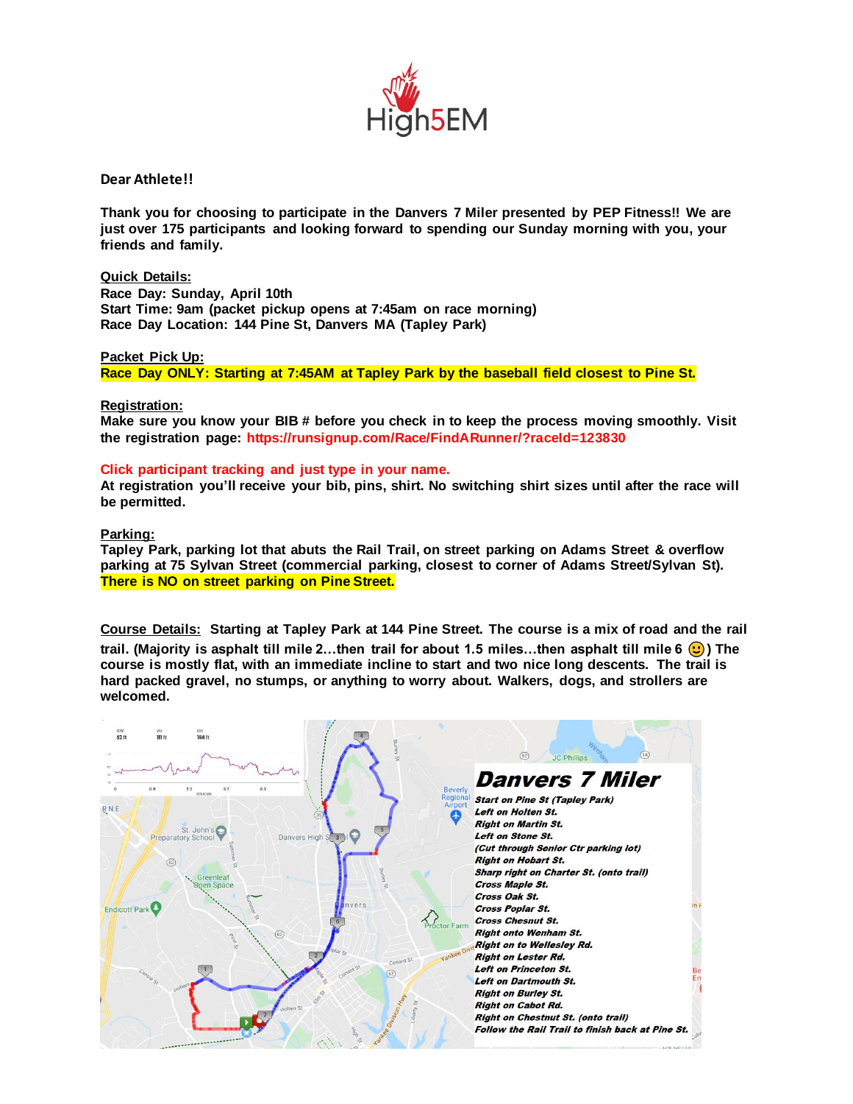

**Dear Athlete!!**

**Thank you for choosing to participate in the Danvers 7 Miler presented by PEP Fitness!! We are just over 175 participants and looking forward to spending our Sunday morning with you, your friends and family.** 

**Quick Details: Race Day: Sunday, April 10th Start Time: 9am (packet pickup opens at 7:45am on race morning) Race Day Location: 144 Pine St, Danvers MA (Tapley Park)**

**Packet Pick Up: Race Day ONLY: Starting at 7:45AM at Tapley Park by the baseball field closest to Pine St.** 

**Registration:**

**Make sure you know your BIB # before you check in to keep the process moving smoothly. Visit the registration page: https://runsignup.com/Race/FindARunner/?raceId=123830**

## **Click participant tracking and just type in your name.**

**At registration you'll receive your bib, pins, shirt. No switching shirt sizes until after the race will be permitted.** 

**Parking:**

**Tapley Park, parking lot that abuts the Rail Trail, on street parking on Adams Street & overflow parking at 75 Sylvan Street (commercial parking, closest to corner of Adams Street/Sylvan St). There is NO on street parking on Pine Street.**

**Course Details: Starting at Tapley Park at 144 Pine Street. The course is a mix of road and the rail trail. (Majority is asphalt till mile 2…then trail for about 1.5 miles…then asphalt till mile 6 ) The course is mostly flat, with an immediate incline to start and two nice long descents. The trail is hard packed gravel, no stumps, or anything to worry about. Walkers, dogs, and strollers are welcomed.**